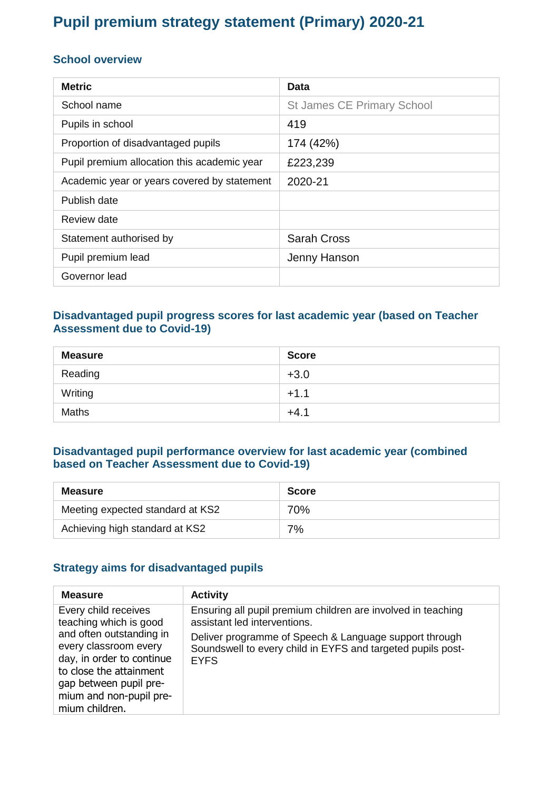# **Pupil premium strategy statement (Primary) 2020-21**

#### **School overview**

| <b>Metric</b>                               | Data                              |
|---------------------------------------------|-----------------------------------|
| School name                                 | <b>St James CE Primary School</b> |
| Pupils in school                            | 419                               |
| Proportion of disadvantaged pupils          | 174 (42%)                         |
| Pupil premium allocation this academic year | £223,239                          |
| Academic year or years covered by statement | 2020-21                           |
| Publish date                                |                                   |
| Review date                                 |                                   |
| Statement authorised by                     | <b>Sarah Cross</b>                |
| Pupil premium lead                          | Jenny Hanson                      |
| Governor lead                               |                                   |

### **Disadvantaged pupil progress scores for last academic year (based on Teacher Assessment due to Covid-19)**

| <b>Measure</b> | <b>Score</b> |
|----------------|--------------|
| Reading        | $+3.0$       |
| Writing        | $+1.1$       |
| <b>Maths</b>   | $+4.1$       |

#### **Disadvantaged pupil performance overview for last academic year (combined based on Teacher Assessment due to Covid-19)**

| Measure                          | <b>Score</b> |
|----------------------------------|--------------|
| Meeting expected standard at KS2 | 70%          |
| Achieving high standard at KS2   | 7%           |

#### **Strategy aims for disadvantaged pupils**

| <b>Measure</b>                                                                                                                                       | <b>Activity</b>                                                                                                                                        |
|------------------------------------------------------------------------------------------------------------------------------------------------------|--------------------------------------------------------------------------------------------------------------------------------------------------------|
| Every child receives<br>teaching which is good<br>and often outstanding in                                                                           | Ensuring all pupil premium children are involved in teaching<br>assistant led interventions.<br>Deliver programme of Speech & Language support through |
| every classroom every<br>day, in order to continue<br>to close the attainment<br>gap between pupil pre-<br>mium and non-pupil pre-<br>mium children. | Soundswell to every child in EYFS and targeted pupils post-<br><b>EYFS</b>                                                                             |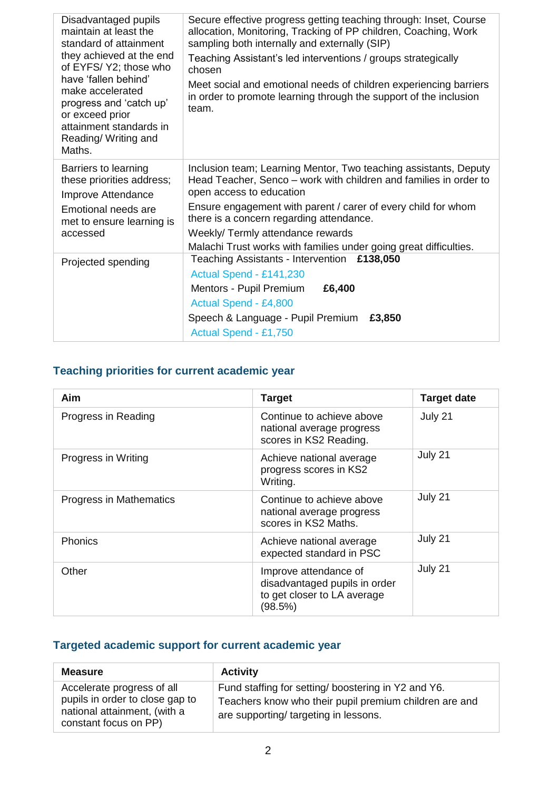| Disadvantaged pupils<br>maintain at least the<br>standard of attainment<br>they achieved at the end<br>of EYFS/Y2; those who<br>have 'fallen behind'<br>make accelerated<br>progress and 'catch up'<br>or exceed prior<br>attainment standards in<br>Reading/ Writing and<br>Maths. | Secure effective progress getting teaching through: Inset, Course<br>allocation, Monitoring, Tracking of PP children, Coaching, Work<br>sampling both internally and externally (SIP)<br>Teaching Assistant's led interventions / groups strategically<br>chosen<br>Meet social and emotional needs of children experiencing barriers<br>in order to promote learning through the support of the inclusion<br>team. |  |
|-------------------------------------------------------------------------------------------------------------------------------------------------------------------------------------------------------------------------------------------------------------------------------------|---------------------------------------------------------------------------------------------------------------------------------------------------------------------------------------------------------------------------------------------------------------------------------------------------------------------------------------------------------------------------------------------------------------------|--|
| Barriers to learning<br>these priorities address;<br>Improve Attendance<br>Emotional needs are<br>met to ensure learning is<br>accessed                                                                                                                                             | Inclusion team; Learning Mentor, Two teaching assistants, Deputy<br>Head Teacher, Senco – work with children and families in order to<br>open access to education<br>Ensure engagement with parent / carer of every child for whom<br>there is a concern regarding attendance.<br>Weekly/Termly attendance rewards<br>Malachi Trust works with families under going great difficulties.                             |  |
| Projected spending                                                                                                                                                                                                                                                                  | £138,050<br>Teaching Assistants - Intervention<br>Actual Spend - £141,230<br>Mentors - Pupil Premium<br>£6,400<br>Actual Spend - £4,800<br>Speech & Language - Pupil Premium<br>£3,850<br>Actual Spend - £1,750                                                                                                                                                                                                     |  |

### **Teaching priorities for current academic year**

| Aim                     | <b>Target</b>                                                                                    | <b>Target date</b> |
|-------------------------|--------------------------------------------------------------------------------------------------|--------------------|
| Progress in Reading     | Continue to achieve above<br>national average progress<br>scores in KS2 Reading.                 | July 21            |
| Progress in Writing     | Achieve national average<br>progress scores in KS2<br>Writing.                                   | July 21            |
| Progress in Mathematics | Continue to achieve above<br>national average progress<br>scores in KS2 Maths.                   | July 21            |
| <b>Phonics</b>          | Achieve national average<br>expected standard in PSC                                             | July 21            |
| Other                   | Improve attendance of<br>disadvantaged pupils in order<br>to get closer to LA average<br>(98.5%) | July 21            |

### **Targeted academic support for current academic year**

| <b>Measure</b>                                                                                                         | <b>Activity</b>                                                                                                                                       |
|------------------------------------------------------------------------------------------------------------------------|-------------------------------------------------------------------------------------------------------------------------------------------------------|
| Accelerate progress of all<br>pupils in order to close gap to<br>national attainment, (with a<br>constant focus on PP) | Fund staffing for setting/boostering in Y2 and Y6.<br>Teachers know who their pupil premium children are and<br>are supporting/ targeting in lessons. |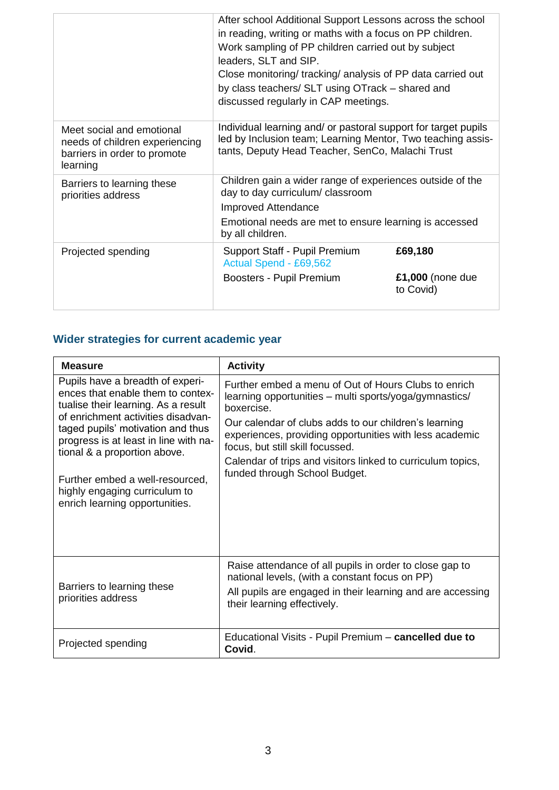|                                                                                                         | After school Additional Support Lessons across the school<br>in reading, writing or maths with a focus on PP children.<br>Work sampling of PP children carried out by subject<br>leaders, SLT and SIP.<br>Close monitoring/ tracking/ analysis of PP data carried out<br>by class teachers/ SLT using OTrack - shared and<br>discussed regularly in CAP meetings. |                                            |
|---------------------------------------------------------------------------------------------------------|-------------------------------------------------------------------------------------------------------------------------------------------------------------------------------------------------------------------------------------------------------------------------------------------------------------------------------------------------------------------|--------------------------------------------|
| Meet social and emotional<br>needs of children experiencing<br>barriers in order to promote<br>learning | Individual learning and/ or pastoral support for target pupils<br>led by Inclusion team; Learning Mentor, Two teaching assis-<br>tants, Deputy Head Teacher, SenCo, Malachi Trust                                                                                                                                                                                 |                                            |
| Barriers to learning these<br>priorities address                                                        | Children gain a wider range of experiences outside of the<br>day to day curriculum/ classroom<br><b>Improved Attendance</b><br>Emotional needs are met to ensure learning is accessed<br>by all children.                                                                                                                                                         |                                            |
| Projected spending                                                                                      | Support Staff - Pupil Premium<br>Actual Spend - £69,562<br>Boosters - Pupil Premium                                                                                                                                                                                                                                                                               | £69,180<br>$£1,000$ (none due<br>to Covid) |

## **Wider strategies for current academic year**

| <b>Measure</b>                                                                                                                                                                                                                                                                                                                                                         | <b>Activity</b>                                                                                                                                                                                                                                                                                                                                                                      |
|------------------------------------------------------------------------------------------------------------------------------------------------------------------------------------------------------------------------------------------------------------------------------------------------------------------------------------------------------------------------|--------------------------------------------------------------------------------------------------------------------------------------------------------------------------------------------------------------------------------------------------------------------------------------------------------------------------------------------------------------------------------------|
| Pupils have a breadth of experi-<br>ences that enable them to contex-<br>tualise their learning. As a result<br>of enrichment activities disadvan-<br>taged pupils' motivation and thus<br>progress is at least in line with na-<br>tional & a proportion above.<br>Further embed a well-resourced,<br>highly engaging curriculum to<br>enrich learning opportunities. | Further embed a menu of Out of Hours Clubs to enrich<br>learning opportunities - multi sports/yoga/gymnastics/<br>boxercise.<br>Our calendar of clubs adds to our children's learning<br>experiences, providing opportunities with less academic<br>focus, but still skill focussed.<br>Calendar of trips and visitors linked to curriculum topics,<br>funded through School Budget. |
| Barriers to learning these<br>priorities address                                                                                                                                                                                                                                                                                                                       | Raise attendance of all pupils in order to close gap to<br>national levels, (with a constant focus on PP)<br>All pupils are engaged in their learning and are accessing<br>their learning effectively.                                                                                                                                                                               |
| Projected spending                                                                                                                                                                                                                                                                                                                                                     | Educational Visits - Pupil Premium - cancelled due to<br>Covid.                                                                                                                                                                                                                                                                                                                      |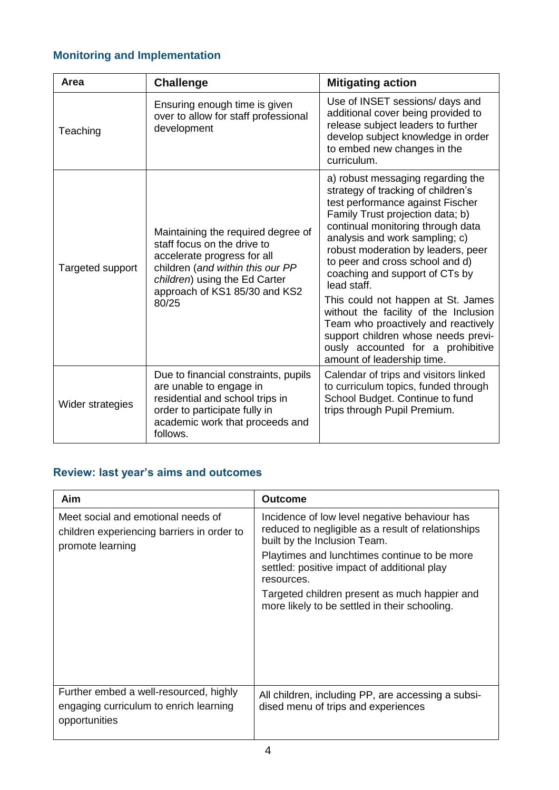## **Monitoring and Implementation**

| Area             | <b>Challenge</b>                                                                                                                                                                                                | <b>Mitigating action</b>                                                                                                                                                                                                                                                                                                                                                                                                                                                                                                                                                         |
|------------------|-----------------------------------------------------------------------------------------------------------------------------------------------------------------------------------------------------------------|----------------------------------------------------------------------------------------------------------------------------------------------------------------------------------------------------------------------------------------------------------------------------------------------------------------------------------------------------------------------------------------------------------------------------------------------------------------------------------------------------------------------------------------------------------------------------------|
| Teaching         | Ensuring enough time is given<br>over to allow for staff professional<br>development                                                                                                                            | Use of INSET sessions/ days and<br>additional cover being provided to<br>release subject leaders to further<br>develop subject knowledge in order<br>to embed new changes in the<br>curriculum.                                                                                                                                                                                                                                                                                                                                                                                  |
| Targeted support | Maintaining the required degree of<br>staff focus on the drive to<br>accelerate progress for all<br>children (and within this our PP<br>children) using the Ed Carter<br>approach of KS1 85/30 and KS2<br>80/25 | a) robust messaging regarding the<br>strategy of tracking of children's<br>test performance against Fischer<br>Family Trust projection data; b)<br>continual monitoring through data<br>analysis and work sampling; c)<br>robust moderation by leaders, peer<br>to peer and cross school and d)<br>coaching and support of CTs by<br>lead staff.<br>This could not happen at St. James<br>without the facility of the Inclusion<br>Team who proactively and reactively<br>support children whose needs previ-<br>ously accounted for a prohibitive<br>amount of leadership time. |
| Wider strategies | Due to financial constraints, pupils<br>are unable to engage in<br>residential and school trips in<br>order to participate fully in<br>academic work that proceeds and<br>follows.                              | Calendar of trips and visitors linked<br>to curriculum topics, funded through<br>School Budget. Continue to fund<br>trips through Pupil Premium.                                                                                                                                                                                                                                                                                                                                                                                                                                 |

## **Review: last year's aims and outcomes**

| Aim                                                                                                  | Outcome                                                                                                                             |
|------------------------------------------------------------------------------------------------------|-------------------------------------------------------------------------------------------------------------------------------------|
| Meet social and emotional needs of<br>children experiencing barriers in order to<br>promote learning | Incidence of low level negative behaviour has<br>reduced to negligible as a result of relationships<br>built by the Inclusion Team. |
|                                                                                                      | Playtimes and lunchtimes continue to be more<br>settled: positive impact of additional play<br>resources.                           |
|                                                                                                      | Targeted children present as much happier and<br>more likely to be settled in their schooling.                                      |
|                                                                                                      |                                                                                                                                     |
| Further embed a well-resourced, highly<br>engaging curriculum to enrich learning<br>opportunities    | All children, including PP, are accessing a subsi-<br>dised menu of trips and experiences                                           |